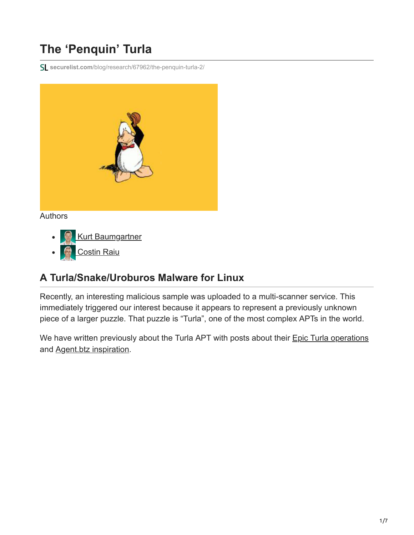# **The 'Penquin' Turla**

**securelist.com**[/blog/research/67962/the-penquin-turla-2/](https://securelist.com/blog/research/67962/the-penquin-turla-2/)



#### Authors

- **[Kurt Baumgartner](https://securelist.com/author/kurtb/)**  $\bullet$
- [Costin Raiu](https://securelist.com/author/costin/)

#### **A Turla/Snake/Uroburos Malware for Linux**

Recently, an interesting malicious sample was uploaded to a multi-scanner service. This immediately triggered our interest because it appears to represent a previously unknown piece of a larger puzzle. That puzzle is "Turla", one of the most complex APTs in the world.

We have written previously about the Turla APT with posts about their **[Epic Turla operations](https://securelist.com/the-epic-turla-operation/65545/)** and [Agent.btz inspiration](https://securelist.com/agent-btz-a-source-of-inspiration/58551/).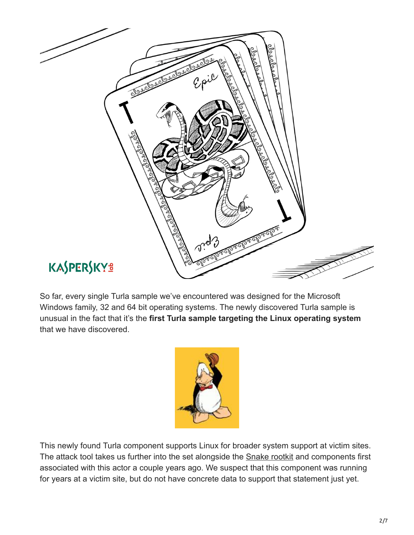

So far, every single Turla sample we've encountered was designed for the Microsoft Windows family, 32 and 64 bit operating systems. The newly discovered Turla sample is unusual in the fact that it's the **first Turla sample targeting the Linux operating system** that we have discovered.



This newly found Turla component supports Linux for broader system support at victim sites. The attack tool takes us further into the set alongside the **Snake rootkit** and components first associated with this actor a couple years ago. We suspect that this component was running for years at a victim site, but do not have concrete data to support that statement just yet.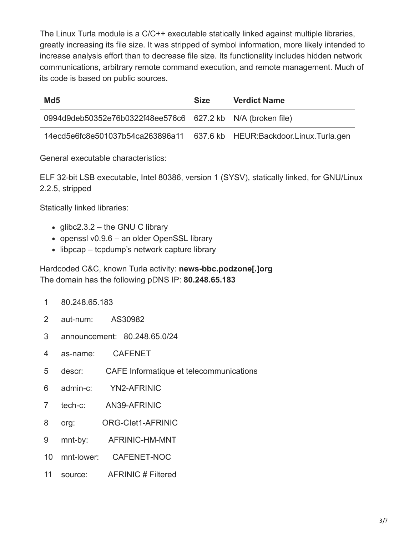The Linux Turla module is a C/C++ executable statically linked against multiple libraries, greatly increasing its file size. It was stripped of symbol information, more likely intended to increase analysis effort than to decrease file size. Its functionality includes hidden network communications, arbitrary remote command execution, and remote management. Much of its code is based on public sources.

| Md <sub>5</sub>                                                         | <b>Size</b> | <b>Verdict Name</b> |
|-------------------------------------------------------------------------|-------------|---------------------|
| 0994d9deb50352e76b0322f48ee576c6 627.2 kb N/A (broken file)             |             |                     |
| 14ecd5e6fc8e501037b54ca263896a11 637.6 kb HEUR:Backdoor.Linux.Turla.gen |             |                     |

General executable characteristics:

ELF 32-bit LSB executable, Intel 80386, version 1 (SYSV), statically linked, for GNU/Linux 2.2.5, stripped

Statically linked libraries:

- $\bullet$  glibc2.3.2 the GNU C library
- $\bullet$  openssl v0.9.6 an older OpenSSL library
- libpcap tcpdump's network capture library

Hardcoded C&C, known Turla activity: **news-bbc.podzone[.]org** The domain has the following pDNS IP: **80.248.65.183**

- 1 80.248.65.183
- 2 aut-num: AS30982
- 3 announcement: 80.248.65.0/24
- 4 as-name: CAFENET
- 5 descr: CAFE Informatique et telecommunications
- 6 admin-c: YN2-AFRINIC
- 7 tech-c: AN39-AFRINIC
- 8 org: ORG-CIet1-AFRINIC
- 9 mnt-by: AFRINIC-HM-MNT
- 10 mnt-lower: CAFENET-NOC
- 11 source: AFRINIC # Filtered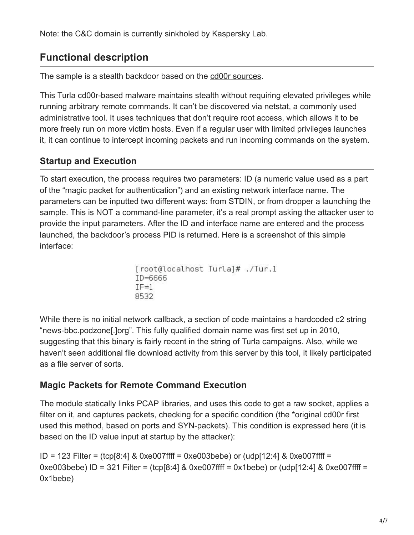Note: the C&C domain is currently sinkholed by Kaspersky Lab.

# **Functional description**

The sample is a stealth backdoor based on the [cd00r sources](http://www.phenoelit.org/stuff/cd00r.c).

This Turla cd00r-based malware maintains stealth without requiring elevated privileges while running arbitrary remote commands. It can't be discovered via netstat, a commonly used administrative tool. It uses techniques that don't require root access, which allows it to be more freely run on more victim hosts. Even if a regular user with limited privileges launches it, it can continue to intercept incoming packets and run incoming commands on the system.

### **Startup and Execution**

To start execution, the process requires two parameters: ID (a numeric value used as a part of the "magic packet for authentication") and an existing network interface name. The parameters can be inputted two different ways: from STDIN, or from dropper a launching the sample. This is NOT a command-line parameter, it's a real prompt asking the attacker user to provide the input parameters. After the ID and interface name are entered and the process launched, the backdoor's process PID is returned. Here is a screenshot of this simple interface:

```
[root@localhost Turla]# ./Tur.1
ID = 6666IF = 18532
```
While there is no initial network callback, a section of code maintains a hardcoded c2 string "news-bbc.podzone[.]org". This fully qualified domain name was first set up in 2010, suggesting that this binary is fairly recent in the string of Turla campaigns. Also, while we haven't seen additional file download activity from this server by this tool, it likely participated as a file server of sorts.

#### **Magic Packets for Remote Command Execution**

The module statically links PCAP libraries, and uses this code to get a raw socket, applies a filter on it, and captures packets, checking for a specific condition (the \*original cd00r first used this method, based on ports and SYN-packets). This condition is expressed here (it is based on the ID value input at startup by the attacker):

ID = 123 Filter = (tcp[8:4] & 0xe007ffff = 0xe003bebe) or (udp[12:4] & 0xe007ffff = 0xe003bebe) ID = 321 Filter = (tcp[8:4] & 0xe007ffff = 0x1bebe) or (udp[12:4] & 0xe007ffff = 0x1bebe)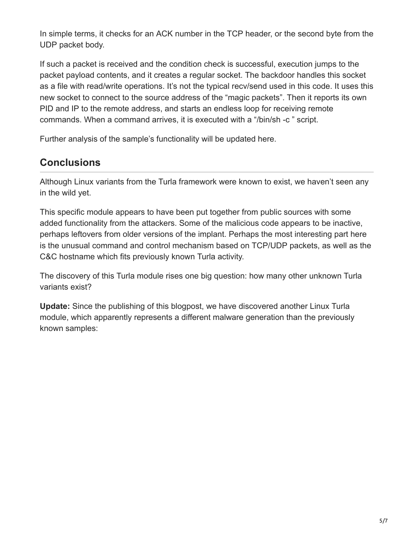In simple terms, it checks for an ACK number in the TCP header, or the second byte from the UDP packet body.

If such a packet is received and the condition check is successful, execution jumps to the packet payload contents, and it creates a regular socket. The backdoor handles this socket as a file with read/write operations. It's not the typical recv/send used in this code. It uses this new socket to connect to the source address of the "magic packets". Then it reports its own PID and IP to the remote address, and starts an endless loop for receiving remote commands. When a command arrives, it is executed with a "/bin/sh -c " script.

Further analysis of the sample's functionality will be updated here.

## **Conclusions**

Although Linux variants from the Turla framework were known to exist, we haven't seen any in the wild yet.

This specific module appears to have been put together from public sources with some added functionality from the attackers. Some of the malicious code appears to be inactive, perhaps leftovers from older versions of the implant. Perhaps the most interesting part here is the unusual command and control mechanism based on TCP/UDP packets, as well as the C&C hostname which fits previously known Turla activity.

The discovery of this Turla module rises one big question: how many other unknown Turla variants exist?

**Update:** Since the publishing of this blogpost, we have discovered another Linux Turla module, which apparently represents a different malware generation than the previously known samples: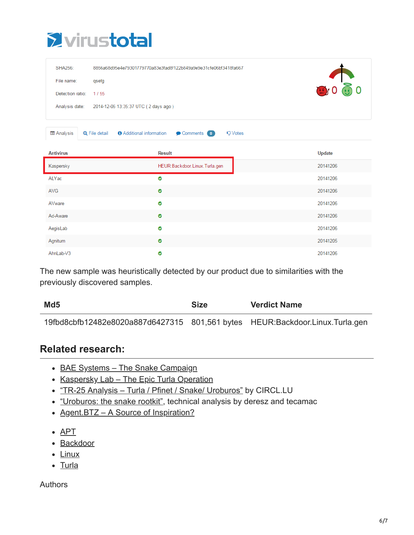

| SHA256:                                                | 8856a68d95e4e79301779770a83e3fad8f122b849a9e9e31cfe06bf3418fa667                        |               |  |
|--------------------------------------------------------|-----------------------------------------------------------------------------------------|---------------|--|
| File name:                                             | qsefg                                                                                   | 0000          |  |
| Detection ratio:                                       | 1/55                                                                                    |               |  |
| Analysis date:<br>2014-12-06 13:35:37 UTC (2 days ago) |                                                                                         |               |  |
| <b>E</b> Analysis                                      | <b>O</b> Additional information<br><b>Q</b> File detail<br>Comments 0<br><b>Q</b> Votes |               |  |
| <b>Antivirus</b>                                       | <b>Result</b>                                                                           | <b>Update</b> |  |
| Kaspersky                                              | HEUR:Backdoor.Linux.Turla.gen                                                           | 20141206      |  |
| ALYac                                                  | $\bullet$                                                                               | 20141206      |  |
| <b>AVG</b>                                             | $\bullet$                                                                               | 20141206      |  |
| AVware                                                 | $\bullet$                                                                               | 20141206      |  |
| Ad-Aware                                               |                                                                                         |               |  |
|                                                        | $\bullet$                                                                               | 20141206      |  |
| AegisLab                                               | $\bullet$                                                                               | 20141206      |  |
| Agnitum                                                | $\bullet$                                                                               | 20141205      |  |

The new sample was heuristically detected by our product due to similarities with the previously discovered samples.

| Md <sub>5</sub>                                                              | <b>Size</b> | <b>Verdict Name</b> |
|------------------------------------------------------------------------------|-------------|---------------------|
| 19fbd8cbfb12482e8020a887d6427315 801,561 bytes HEUR:Backdoor.Linux.Turla.gen |             |                     |

#### **Related research:**

- BAE Systems The Snake Campaign
- Kaspersky Lab The Epic Turla Operation
- . "TR-25 Analysis Turla / Pfinet / Snake/ Uroburos" by CIRCL.LU
- ["Uroburos: the snake rootkit"](https://media.kasperskycontenthub.com/wp-content/uploads/sites/43/2014/12/20082137/uroburos.pdf), technical analysis by deresz and tecamac
- Agent.BTZ A Source of Inspiration?
- [APT](https://securelist.com/tag/apt/)
- [Backdoor](https://securelist.com/tag/backdoor/)
- [Linux](https://securelist.com/tag/linux/)
- [Turla](https://securelist.com/tag/turla/)

**Authors**